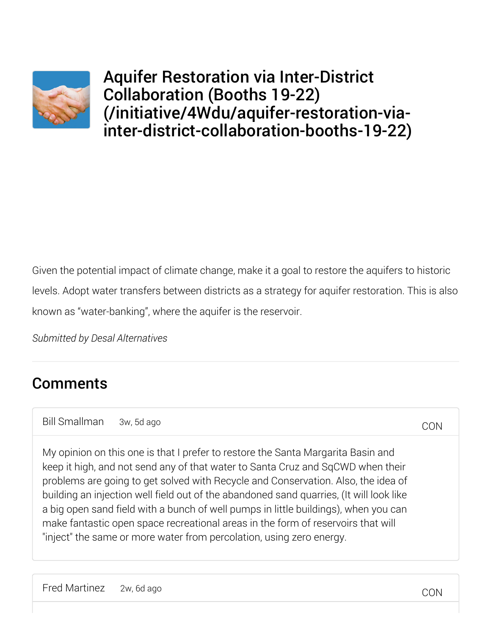

Aquifer Restoration via Inter-District Collaboration (Booths 19-22) (/initiative/4Wdu/aquifer-restoration-viainter-district-collaboration-booths-19-22)

Given the potential impact of climate change, make it a goal to restore the aquifers to historic levels. Adopt water transfers between districts as a strategy for aquifer restoration. This is also known as "water-banking", where the aquifer is the reservoir.

*Submitted by Desal Alternatives*

## **Comments**

Bill Smallman 3w, 5d ago

My opinion on this one is that I prefer to restore the Santa Margarita Basin and keep it high, and not send any of that water to Santa Cruz and SqCWD when their problems are going to get solved with Recycle and Conservation. Also, the idea of building an injection well field out of the abandoned sand quarries, (It will look like a big open sand field with a bunch of well pumps in little buildings), when you can make fantastic open space recreational areas in the form of reservoirs that will "inject" the same or more water from percolation, using zero energy.

**CON**